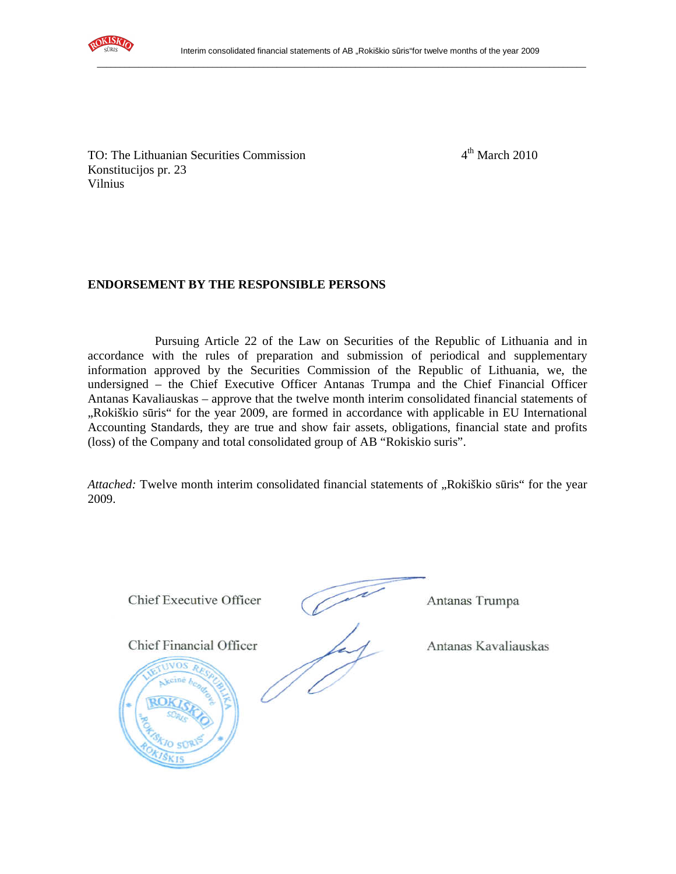

TO: The Lithuanian Securities Commission 4<sup>th</sup> March 2010 Konstitucijos pr. 23 Vilnius

# **ENDORSEMENT BY THE RESPONSIBLE PERSONS**

Pursuing Article 22 of the Law on Securities of the Republic of Lithuania and in accordance with the rules of preparation and submission of periodical and supplementary information approved by the Securities Commission of the Republic of Lithuania, we, the undersigned – the Chief Executive Officer Antanas Trumpa and the Chief Financial Officer Antanas Kavaliauskas – approve that the twelve month interim consolidated financial statements of "Rokiškio sūris" for the year 2009, are formed in accordance with applicable in EU International Accounting Standards, they are true and show fair assets, obligations, financial state and profits (loss) of the Company and total consolidated group of AB "Rokiskio suris".

*Attached:* Twelve month interim consolidated financial statements of "Rokiškio sūris" for the year 2009.

Chief Executive Officer

Antanas Trumpa

**Chief Financial Officer** 

Antanas Kavaliauskas

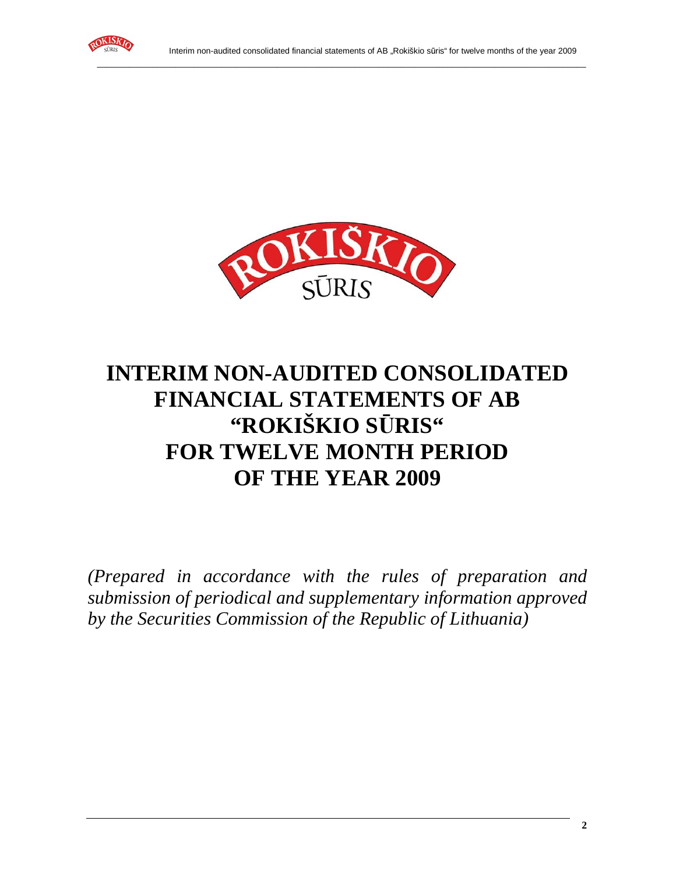



# **INTERIM NON-AUDITED CONSOLIDATED FINANCIAL STATEMENTS OF AB "ROKIŠKIO S**Ū**RIS" FOR TWELVE MONTH PERIOD OF THE YEAR 2009**

*(Prepared in accordance with the rules of preparation and submission of periodical and supplementary information approved by the Securities Commission of the Republic of Lithuania)*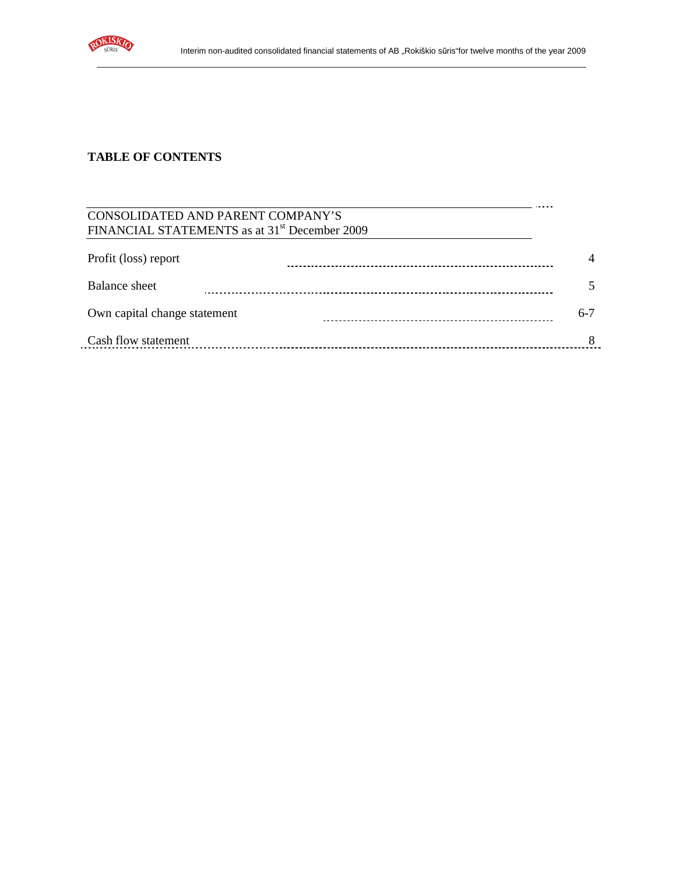

 $\ddot{\phantom{1}}$ 

والمتحدث

\_\_\_\_\_\_\_\_\_\_\_\_\_\_\_\_\_\_\_\_\_\_\_\_\_\_\_\_\_\_\_\_\_\_\_\_\_\_\_\_\_\_\_\_\_\_\_\_\_\_\_\_\_\_\_\_\_\_\_\_\_\_\_\_\_\_\_\_\_\_\_\_\_\_\_\_\_\_\_\_\_\_\_\_\_\_\_\_\_\_\_\_\_\_\_\_\_\_\_\_\_\_\_\_\_\_

# **TABLE OF CONTENTS**

## CONSOLIDATED AND PARENT COMPANY'S FINANCIAL STATEMENTS as at 31<sup>st</sup> December 2009

| Profit (loss) report         |         |
|------------------------------|---------|
| Balance sheet                |         |
| Own capital change statement | $6 - 7$ |
| Cash flow statement          |         |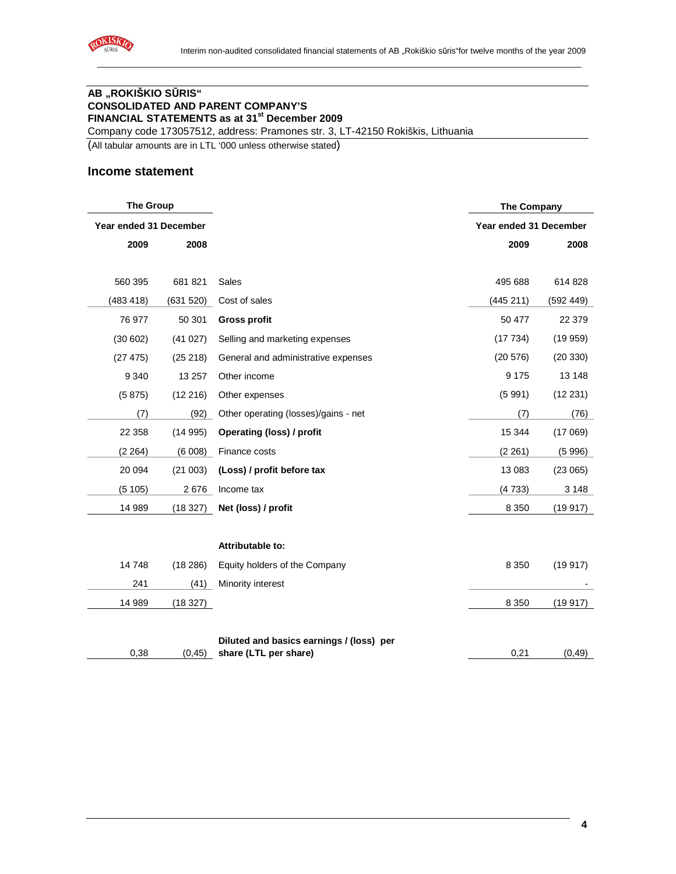

## **AB "ROKIŠKIO S**Ū**RIS" CONSOLIDATED AND PARENT COMPANY'S FINANCIAL STATEMENTS as at 31st December 2009**

Company code 173057512, address: Pramones str. 3, LT-42150 Rokiškis, Lithuania

(All tabular amounts are in LTL '000 unless otherwise stated)

#### **Income statement**

| <b>The Group</b>       |           |                                          | <b>The Company</b>     |           |
|------------------------|-----------|------------------------------------------|------------------------|-----------|
| Year ended 31 December |           |                                          | Year ended 31 December |           |
| 2009                   | 2008      |                                          | 2009                   | 2008      |
|                        |           |                                          |                        |           |
| 560 395                | 681 821   | Sales                                    | 495 688                | 614 828   |
| (483 418)              | (631 520) | Cost of sales                            | (445 211)              | (592 449) |
| 76 977                 | 50 301    | <b>Gross profit</b>                      | 50 477                 | 22 379    |
| (30602)                | (41027)   | Selling and marketing expenses           | (17734)                | (19959)   |
| (27 475)               | (25 218)  | General and administrative expenses      | (20 576)               | (20330)   |
| 9 3 4 0                | 13 257    | Other income                             | 9 1 7 5                | 13 148    |
| (5875)                 | (12 216)  | Other expenses                           | (5991)                 | (12 231)  |
| (7)                    | (92)      | Other operating (losses)/gains - net     | (7)                    | (76)      |
| 22 358                 | (14995)   | Operating (loss) / profit                | 15 3 44                | (17069)   |
| (2 264)                | (6008)    | Finance costs                            | (2 261)                | (5996)    |
| 20 094                 | (21003)   | (Loss) / profit before tax               | 13 083                 | (23065)   |
| (5105)                 | 2676      | Income tax                               | (4733)                 | 3 1 4 8   |
| 14 989                 | (18 327)  | Net (loss) / profit                      | 8 3 5 0                | (19917)   |
|                        |           |                                          |                        |           |
|                        |           | Attributable to:                         |                        |           |
| 14748                  | (18286)   | Equity holders of the Company            | 8 3 5 0                | (19917)   |
| 241                    | (41)      | Minority interest                        |                        |           |
| 14 989                 | (18327)   |                                          | 8 3 5 0                | (19917)   |
|                        |           |                                          |                        |           |
|                        |           | Diluted and basics earnings / (loss) per |                        |           |
| 0,38                   | (0, 45)   | share (LTL per share)                    | 0,21                   | (0, 49)   |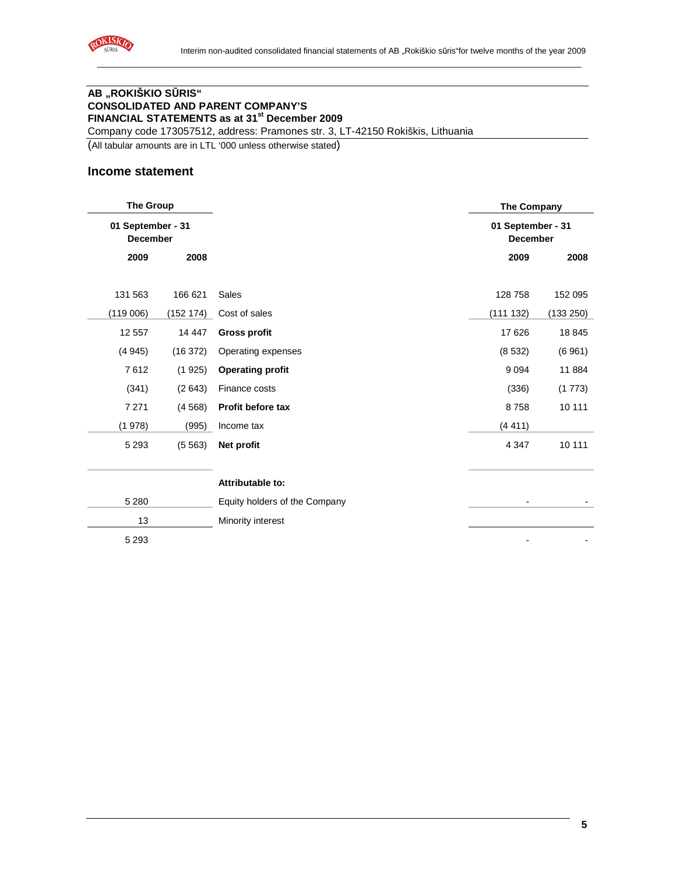

# **AB "ROKIŠKIO S**Ū**RIS" CONSOLIDATED AND PARENT COMPANY'S FINANCIAL STATEMENTS as at 31st December 2009**

Company code 173057512, address: Pramones str. 3, LT-42150 Rokiškis, Lithuania

(All tabular amounts are in LTL '000 unless otherwise stated)

#### **Income statement**

| <b>The Group</b>                     |           |                               | <b>The Company</b>                   |           |
|--------------------------------------|-----------|-------------------------------|--------------------------------------|-----------|
| 01 September - 31<br><b>December</b> |           |                               | 01 September - 31<br><b>December</b> |           |
| 2009                                 | 2008      |                               | 2009                                 | 2008      |
| 131 563                              | 166 621   | Sales                         | 128 758                              | 152 095   |
| (119006)                             | (152 174) | Cost of sales                 | (111 132)                            | (133 250) |
| 12 5 57                              | 14 447    | <b>Gross profit</b>           | 17 626                               | 18 845    |
| (4945)                               | (16 372)  | Operating expenses            | (8532)                               | (6961)    |
| 7612                                 | (1925)    | <b>Operating profit</b>       | 9094                                 | 11 884    |
| (341)                                | (2643)    | Finance costs                 | (336)                                | (1773)    |
| 7 2 7 1                              | (4568)    | Profit before tax             | 8758                                 | 10 111    |
| (1978)                               | (995)     | Income tax                    | (4411)                               |           |
| 5 2 9 3                              | (5563)    | Net profit                    | 4 3 4 7                              | 10 111    |
|                                      |           | Attributable to:              |                                      |           |
| 5 2 8 0                              |           | Equity holders of the Company |                                      |           |
| 13                                   |           | Minority interest             |                                      |           |
| 5 2 9 3                              |           |                               |                                      |           |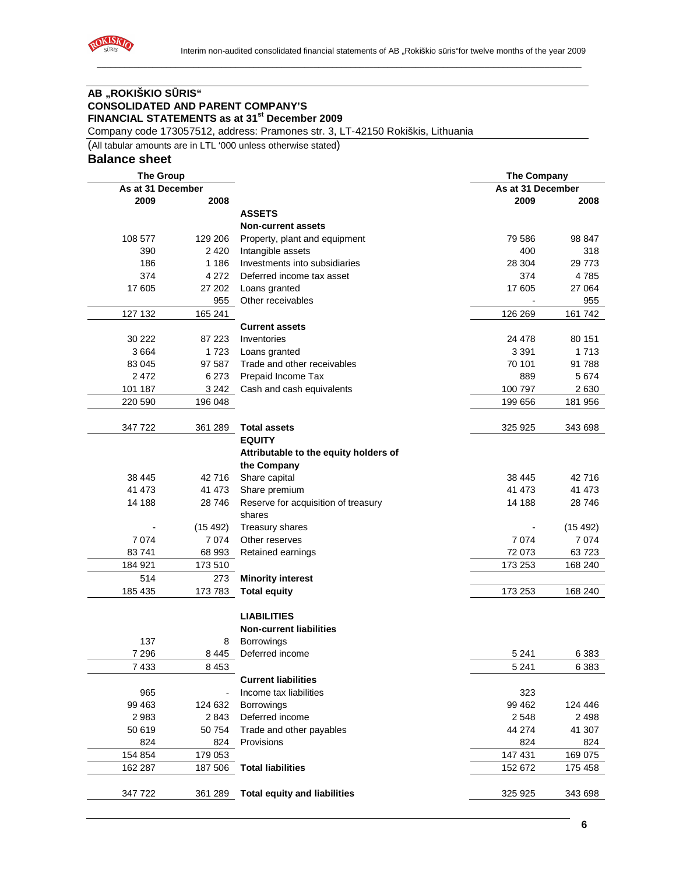

# **AB "ROKIŠKIO S**Ū**RIS" CONSOLIDATED AND PARENT COMPANY'S FINANCIAL STATEMENTS as at 31st December 2009**

Company code 173057512, address: Pramones str. 3, LT-42150 Rokiškis, Lithuania

(All tabular amounts are in LTL '000 unless otherwise stated)

## **Balance sheet**

|         | <b>The Group</b>  |                                       | <b>The Company</b> |          |
|---------|-------------------|---------------------------------------|--------------------|----------|
|         | As at 31 December |                                       | As at 31 December  |          |
| 2009    | 2008              |                                       | 2009               | 2008     |
|         |                   | <b>ASSETS</b>                         |                    |          |
|         |                   | <b>Non-current assets</b>             |                    |          |
| 108 577 | 129 206           | Property, plant and equipment         | 79 586             | 98 847   |
| 390     | 2 4 2 0           | Intangible assets                     | 400                | 318      |
| 186     | 1 1 8 6           | Investments into subsidiaries         | 28 304             | 29 773   |
| 374     | 4 2 7 2           | Deferred income tax asset             | 374                | 4785     |
| 17605   | 27 202            | Loans granted                         | 17 605             | 27 064   |
|         | 955               | Other receivables                     |                    | 955      |
| 127 132 | 165 241           |                                       | 126 269            | 161 742  |
|         |                   | <b>Current assets</b>                 |                    |          |
| 30 222  | 87 223            | Inventories                           | 24 478             | 80 151   |
| 3664    | 1723              | Loans granted                         | 3 3 9 1            | 1713     |
| 83 045  | 97 587            | Trade and other receivables           | 70 101             | 91 788   |
| 2472    | 6 2 7 3           | Prepaid Income Tax                    | 889                | 5674     |
| 101 187 | 3 2 4 2           | Cash and cash equivalents             | 100 797            | 2630     |
| 220 590 | 196 048           |                                       | 199 656            | 181 956  |
|         |                   |                                       |                    |          |
| 347 722 | 361 289           | <b>Total assets</b>                   | 325 925            | 343 698  |
|         |                   | <b>EQUITY</b>                         |                    |          |
|         |                   | Attributable to the equity holders of |                    |          |
|         |                   | the Company                           |                    |          |
| 38 4 45 | 42 716            | Share capital                         | 38 4 45            | 42716    |
| 41 473  | 41 473            | Share premium                         | 41 473             | 41 473   |
| 14 188  | 28746             | Reserve for acquisition of treasury   | 14 188             | 28 746   |
|         |                   | shares                                |                    |          |
|         | (15 492)          | Treasury shares                       |                    | (15 492) |
| 7074    | 7074              | Other reserves                        | 7074               | 7074     |
| 83741   | 68 993            | Retained earnings                     | 72 073             | 63723    |
| 184 921 | 173 510           |                                       | 173 253            | 168 240  |
| 514     | 273               | <b>Minority interest</b>              |                    |          |
| 185 435 | 173 783           | <b>Total equity</b>                   | 173 253            | 168 240  |
|         |                   |                                       |                    |          |
|         |                   | <b>LIABILITIES</b>                    |                    |          |
|         |                   | <b>Non-current liabilities</b>        |                    |          |
| 137     | 8                 | <b>Borrowings</b>                     |                    |          |
| 7296    | 8 4 4 5           | Deferred income                       | 5 241              | 6 383    |
| 7433    | 8453              |                                       | 5 2 4 1            | 6383     |
|         |                   | <b>Current liabilities</b>            |                    |          |
| 965     |                   | Income tax liabilities                | 323                |          |
| 99 4 63 | 124 632           | <b>Borrowings</b>                     | 99 4 62            | 124 446  |
| 2983    | 2843              | Deferred income                       | 2548               | 2498     |
| 50 619  | 50 754            | Trade and other payables              | 44 274             | 41 307   |
| 824     | 824               | Provisions                            | 824                | 824      |
| 154 854 | 179 053           |                                       | 147 431            | 169 075  |
| 162 287 | 187 506           | <b>Total liabilities</b>              | 152 672            | 175 458  |
|         |                   |                                       |                    |          |
| 347 722 | 361 289           | <b>Total equity and liabilities</b>   | 325 925            | 343 698  |
|         |                   |                                       |                    |          |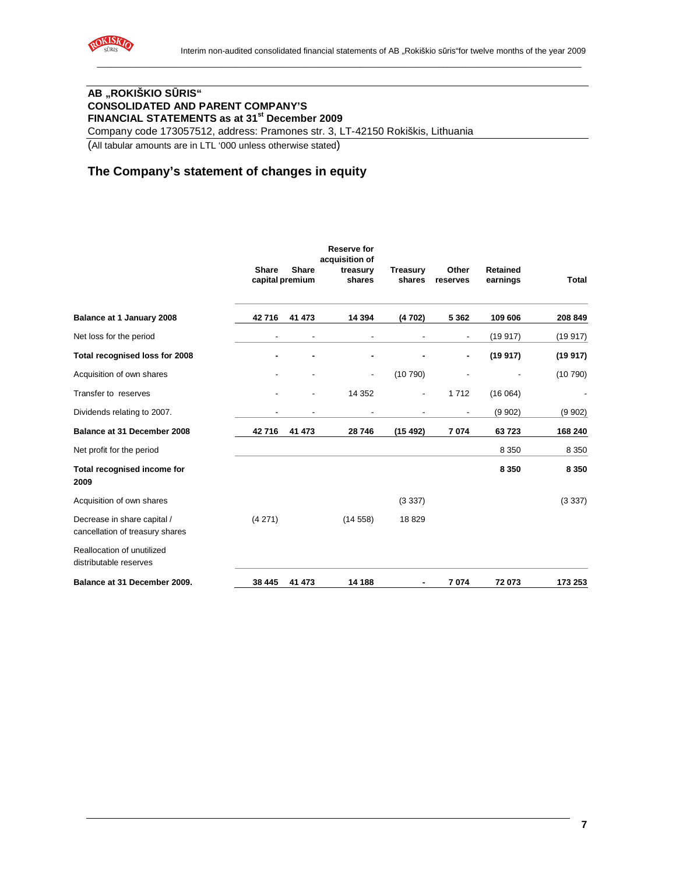

# **AB "ROKIŠKIO S**Ū**RIS" CONSOLIDATED AND PARENT COMPANY'S FINANCIAL STATEMENTS as at 31st December 2009**

Company code 173057512, address: Pramones str. 3, LT-42150 Rokiškis, Lithuania

(All tabular amounts are in LTL '000 unless otherwise stated)

# **The Company's statement of changes in equity**

|                                                                |              |                                 | <b>Reserve for</b><br>acquisition of |                           |                          |                             |              |
|----------------------------------------------------------------|--------------|---------------------------------|--------------------------------------|---------------------------|--------------------------|-----------------------------|--------------|
|                                                                | <b>Share</b> | <b>Share</b><br>capital premium | treasury<br>shares                   | <b>Treasury</b><br>shares | Other<br>reserves        | <b>Retained</b><br>earnings | <b>Total</b> |
| Balance at 1 January 2008                                      | 42716        | 41 473                          | 14 3 94                              | (4702)                    | 5 3 6 2                  | 109 606                     | 208 849      |
| Net loss for the period                                        | ۰            | $\overline{\phantom{a}}$        |                                      |                           | ۰                        | (19917)                     | (19917)      |
| Total recognised loss for 2008                                 |              |                                 |                                      |                           |                          | (19917)                     | (19917)      |
| Acquisition of own shares                                      |              |                                 |                                      | (10790)                   |                          |                             | (10790)      |
| Transfer to reserves                                           |              |                                 | 14 3 52                              | $\overline{\phantom{a}}$  | 1712                     | (16064)                     |              |
| Dividends relating to 2007.                                    | -            | $\overline{\phantom{a}}$        | $\overline{\phantom{a}}$             | $\overline{\phantom{a}}$  | $\overline{\phantom{a}}$ | (9902)                      | (9902)       |
| Balance at 31 December 2008                                    | 42716        | 41 473                          | 28746                                | (15492)                   | 7074                     | 63723                       | 168 240      |
| Net profit for the period                                      |              |                                 |                                      |                           |                          | 8 3 5 0                     | 8 3 5 0      |
| Total recognised income for<br>2009                            |              |                                 |                                      |                           |                          | 8 3 5 0                     | 8 3 5 0      |
| Acquisition of own shares                                      |              |                                 |                                      | (3337)                    |                          |                             | (3337)       |
| Decrease in share capital /<br>cancellation of treasury shares | (4271)       |                                 | (14558)                              | 18829                     |                          |                             |              |
| Reallocation of unutilized<br>distributable reserves           |              |                                 |                                      |                           |                          |                             |              |
| Balance at 31 December 2009.                                   | 38 445       | 41 473                          | 14 188                               |                           | 7074                     | 72073                       | 173 253      |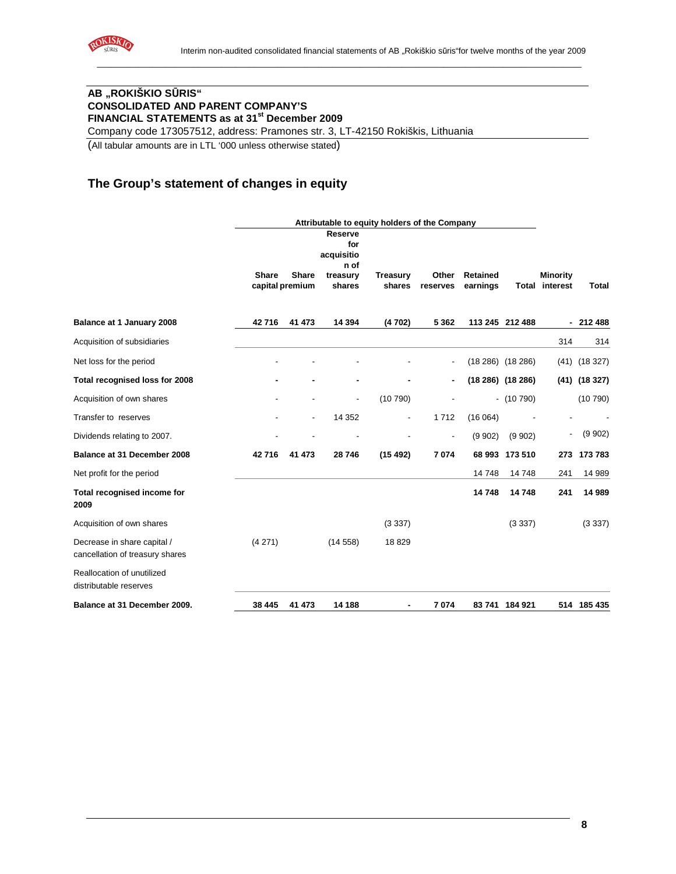

# **AB "ROKIŠKIO S**Ū**RIS" CONSOLIDATED AND PARENT COMPANY'S FINANCIAL STATEMENTS as at 31st December 2009**

Company code 173057512, address: Pramones str. 3, LT-42150 Rokiškis, Lithuania

(All tabular amounts are in LTL '000 unless otherwise stated)

# **The Group's statement of changes in equity**

|                                                                | Attributable to equity holders of the Company |                |                                                         |                 |                          |                 |                     |                          |                  |
|----------------------------------------------------------------|-----------------------------------------------|----------------|---------------------------------------------------------|-----------------|--------------------------|-----------------|---------------------|--------------------------|------------------|
|                                                                | <b>Share</b>                                  | Share          | <b>Reserve</b><br>for<br>acquisitio<br>n of<br>treasury | <b>Treasury</b> | Other                    | <b>Retained</b> |                     | <b>Minority</b>          |                  |
|                                                                | capital premium                               |                | shares                                                  | shares          | reserves                 | earnings        |                     | <b>Total interest</b>    | Total            |
| Balance at 1 January 2008                                      | 42716                                         | 41 473         | 14 3 94                                                 | (4702)          | 5 3 6 2                  |                 | 113 245 212 488     |                          | $-212488$        |
|                                                                |                                               |                |                                                         |                 |                          |                 |                     |                          |                  |
| Acquisition of subsidiaries                                    |                                               |                |                                                         |                 |                          |                 |                     | 314                      | 314              |
| Net loss for the period                                        |                                               |                |                                                         |                 | $\overline{\phantom{a}}$ |                 | $(18286)$ $(18286)$ |                          | $(41)$ $(18327)$ |
| Total recognised loss for 2008                                 |                                               |                |                                                         |                 | ٠                        |                 | $(18286)$ $(18286)$ |                          | $(41)$ $(18327)$ |
| Acquisition of own shares                                      |                                               |                | $\overline{\phantom{a}}$                                | (10790)         |                          |                 | $-$ (10 790)        |                          | (10790)          |
| Transfer to reserves                                           |                                               | $\overline{a}$ | 14 3 52                                                 |                 | 1712                     | (16064)         |                     |                          |                  |
| Dividends relating to 2007.                                    |                                               |                |                                                         |                 |                          | (9902)          | (9.902)             | $\overline{\phantom{a}}$ | (9902)           |
| Balance at 31 December 2008                                    | 42716                                         | 41 473         | 28 746                                                  | (15492)         | 7074                     |                 | 68 993 173 510      | 273                      | 173 783          |
| Net profit for the period                                      |                                               |                |                                                         |                 |                          | 14 748          | 14748               | 241                      | 14 989           |
| Total recognised income for<br>2009                            |                                               |                |                                                         |                 |                          | 14748           | 14748               | 241                      | 14 989           |
| Acquisition of own shares                                      |                                               |                |                                                         | (3337)          |                          |                 | (3337)              |                          | (3337)           |
| Decrease in share capital /<br>cancellation of treasury shares | (4271)                                        |                | (14558)                                                 | 18829           |                          |                 |                     |                          |                  |
| Reallocation of unutilized<br>distributable reserves           |                                               |                |                                                         |                 |                          |                 |                     |                          |                  |
| Balance at 31 December 2009.                                   | 38 445                                        | 41 473         | 14 188                                                  |                 | 7074                     |                 | 83 741 184 921      |                          | 514 185 435      |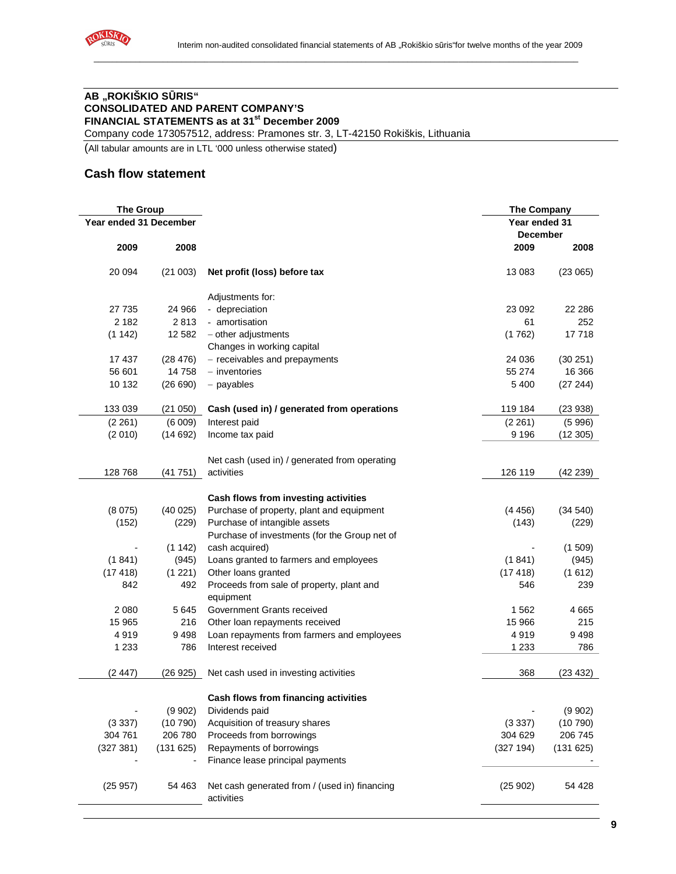

# **AB "ROKIŠKIO S**Ū**RIS" CONSOLIDATED AND PARENT COMPANY'S FINANCIAL STATEMENTS as at 31st December 2009**

Company code 173057512, address: Pramones str. 3, LT-42150 Rokiškis, Lithuania

(All tabular amounts are in LTL '000 unless otherwise stated)

#### **Cash flow statement**

| <b>The Group</b>       |          | <b>The Company</b>                                          |                 |          |
|------------------------|----------|-------------------------------------------------------------|-----------------|----------|
| Year ended 31 December |          |                                                             | Year ended 31   |          |
|                        |          |                                                             | <b>December</b> |          |
| 2009                   | 2008     |                                                             | 2009            | 2008     |
| 20 094                 | (21003)  | Net profit (loss) before tax                                | 13 083          | (23065)  |
|                        |          | Adjustments for:                                            |                 |          |
| 27 735                 | 24 966   | - depreciation                                              | 23 092          | 22 28 6  |
| 2 1 8 2                | 2813     | - amortisation                                              | 61              | 252      |
| (1 142)                | 12 582   | $-$ other adjustments                                       | (1762)          | 17718    |
|                        |          | Changes in working capital                                  |                 |          |
| 17 437                 | (28 476) | - receivables and prepayments                               | 24 036          | (30 251) |
| 56 601                 | 14 758   | $-$ inventories                                             | 55 274          | 16 366   |
| 10 132                 | (26690)  | - payables                                                  | 5 4 0 0         | (27 244) |
| 133 039                | (21050)  | Cash (used in) / generated from operations                  | 119 184         | (23938)  |
| (2 261)                | (6009)   | Interest paid                                               | (2 261)         | (5996)   |
| (2010)                 | (14692)  | Income tax paid                                             | 9 1 9 6         | (12305)  |
|                        |          | Net cash (used in) / generated from operating               |                 |          |
| 128 768                | (41751)  | activities                                                  | 126 119         | (42 239) |
|                        |          |                                                             |                 |          |
|                        |          | Cash flows from investing activities                        |                 |          |
| (8075)                 | (40025)  | Purchase of property, plant and equipment                   | (4456)          | (34 540) |
| (152)                  | (229)    | Purchase of intangible assets                               | (143)           | (229)    |
|                        |          | Purchase of investments (for the Group net of               |                 |          |
|                        | (1142)   | cash acquired)                                              |                 | (1509)   |
| (1841)                 | (945)    | Loans granted to farmers and employees                      | (1841)          | (945)    |
| (17418)                | (1 221)  | Other loans granted                                         | (17418)         | (1612)   |
| 842                    | 492      | Proceeds from sale of property, plant and                   | 546             | 239      |
| 2 0 8 0                | 5 6 4 5  | equipment<br>Government Grants received                     | 1562            | 4665     |
| 15 965                 | 216      |                                                             | 15 966          | 215      |
|                        | 9498     | Other loan repayments received                              |                 |          |
| 4919                   |          | Loan repayments from farmers and employees                  | 4919            | 9498     |
| 1 2 3 3                | 786      | Interest received                                           | 1 2 3 3         | 786      |
| (2447)                 | (26925)  | Net cash used in investing activities                       | 368             | (23 432) |
|                        |          | Cash flows from financing activities                        |                 |          |
|                        | (9902)   | Dividends paid                                              |                 | (9902)   |
| (3337)                 | (10790)  | Acquisition of treasury shares                              | (3337)          | (10790)  |
| 304 761                | 206 780  | Proceeds from borrowings                                    | 304 629         | 206 745  |
| (327 381)              | (131625) | Repayments of borrowings                                    | (327 194)       | (131625) |
|                        |          | Finance lease principal payments                            |                 |          |
| (25957)                | 54 463   |                                                             | (25902)         | 54 428   |
|                        |          | Net cash generated from / (used in) financing<br>activities |                 |          |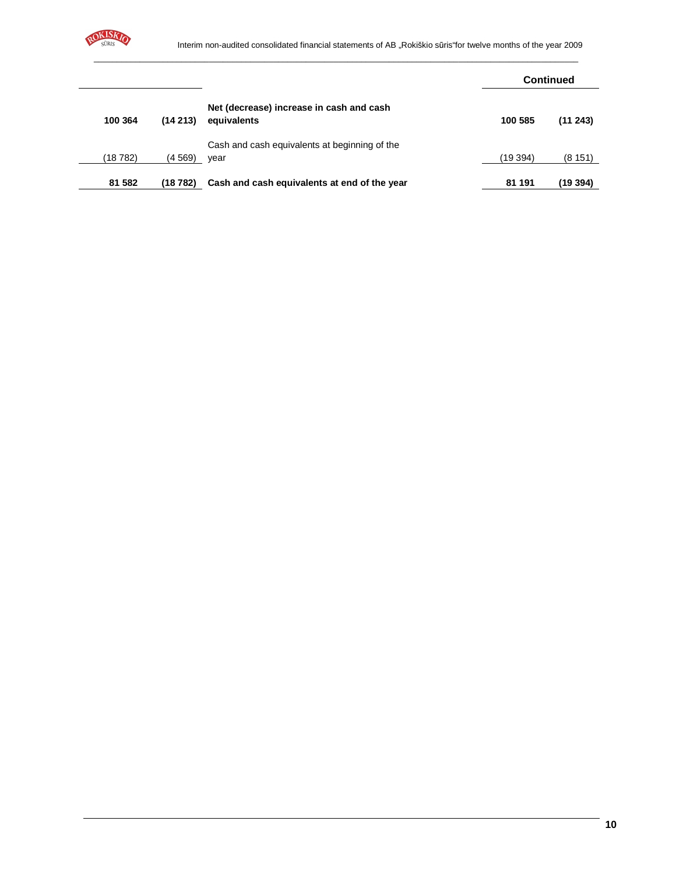

|         |         |                                                         |         | <b>Continued</b> |
|---------|---------|---------------------------------------------------------|---------|------------------|
| 100 364 | (14213) | Net (decrease) increase in cash and cash<br>equivalents | 100 585 | (11243)          |
|         |         | Cash and cash equivalents at beginning of the           |         |                  |
| (18782) | (4 569) | year                                                    | (19394) | (8151)           |
| 81 582  | (18782) | Cash and cash equivalents at end of the year            | 81 191  | (19394)          |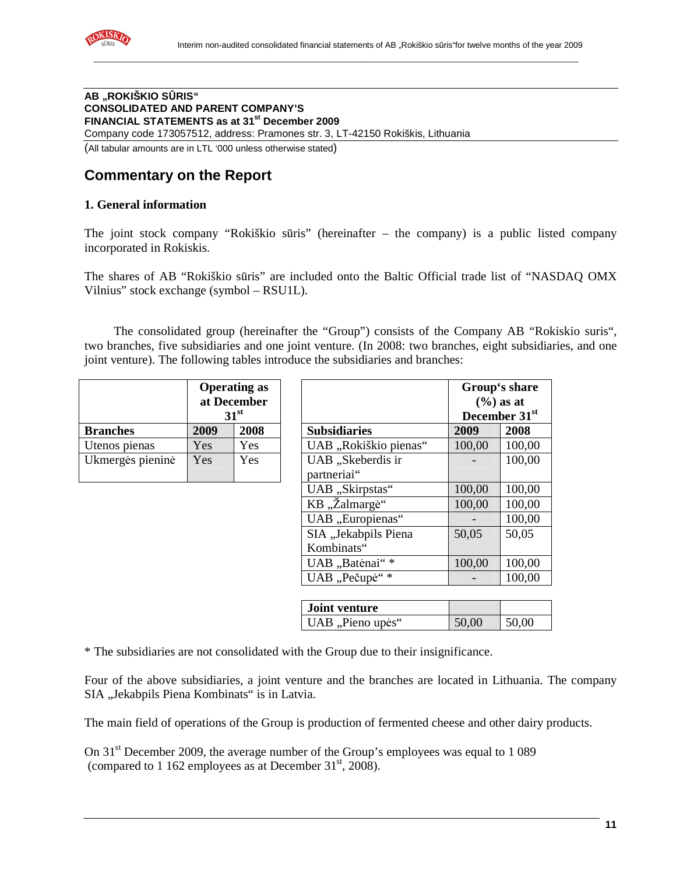

#### **AB "ROKIŠKIO S**Ū**RIS" CONSOLIDATED AND PARENT COMPANY'S FINANCIAL STATEMENTS as at 31st December 2009**  Company code 173057512, address: Pramones str. 3, LT-42150 Rokiškis, Lithuania (All tabular amounts are in LTL '000 unless otherwise stated)

# **Commentary on the Report**

#### **1. General information**

The joint stock company "Rokiškio sūris" (hereinafter – the company) is a public listed company incorporated in Rokiskis.

The shares of AB "Rokiškio sūris" are included onto the Baltic Official trade list of "NASDAQ OMX Vilnius" stock exchange (symbol – RSU1L).

The consolidated group (hereinafter the "Group") consists of the Company AB "Rokiskio suris", two branches, five subsidiaries and one joint venture. (In 2008: two branches, eight subsidiaries, and one joint venture). The following tables introduce the subsidiaries and branches:

|                  |      | <b>Operating as</b><br>at December<br>31 <sup>st</sup> |                                  |
|------------------|------|--------------------------------------------------------|----------------------------------|
| <b>Branches</b>  | 2009 | 2008                                                   | <b>Subsidiaries</b>              |
| Utenos pienas    | Yes  | Yes                                                    | UAB "Rokiškio pie                |
| Ukmergės pieninė | Yes  | Yes                                                    | UAB "Skeberdis ir<br>partneriai" |

|                  |      | <b>Operating as</b><br>at December<br>31 <sup>st</sup> |                                    | Group's share<br>$(\frac{6}{6})$ as at<br>December 31st |        |  |
|------------------|------|--------------------------------------------------------|------------------------------------|---------------------------------------------------------|--------|--|
| <b>Branches</b>  | 2009 | 2008                                                   | <b>Subsidiaries</b>                | 2009                                                    | 2008   |  |
| Utenos pienas    | Yes  | Yes                                                    | UAB "Rokiškio pienas"              | 100,00                                                  | 100,00 |  |
| Ukmergės pieninė | Yes  | Yes                                                    | UAB "Skeberdis ir<br>partneriai"   |                                                         | 100,00 |  |
|                  |      |                                                        | UAB "Skirpstas"                    | 100,00                                                  | 100,00 |  |
|                  |      |                                                        | KB "Žalmargė"                      | 100,00                                                  | 100,00 |  |
|                  |      |                                                        | UAB "Europienas"                   |                                                         | 100,00 |  |
|                  |      |                                                        | SIA "Jekabpils Piena<br>Kombinats" | 50,05                                                   | 50,05  |  |
|                  |      |                                                        | UAB "Batėnai"*                     | 100,00                                                  | 100,00 |  |
|                  |      |                                                        | UAB "Pečupė"*                      |                                                         | 100,00 |  |

| Joint venture    |       |       |
|------------------|-------|-------|
| UAB, Pieno upės" | 50,00 | 50,00 |

\* The subsidiaries are not consolidated with the Group due to their insignificance.

Four of the above subsidiaries, a joint venture and the branches are located in Lithuania. The company SIA "Jekabpils Piena Kombinats" is in Latvia.

The main field of operations of the Group is production of fermented cheese and other dairy products.

On 31<sup>st</sup> December 2009, the average number of the Group's employees was equal to 1 089 (compared to 1 162 employees as at December  $31<sup>st</sup>$ , 2008).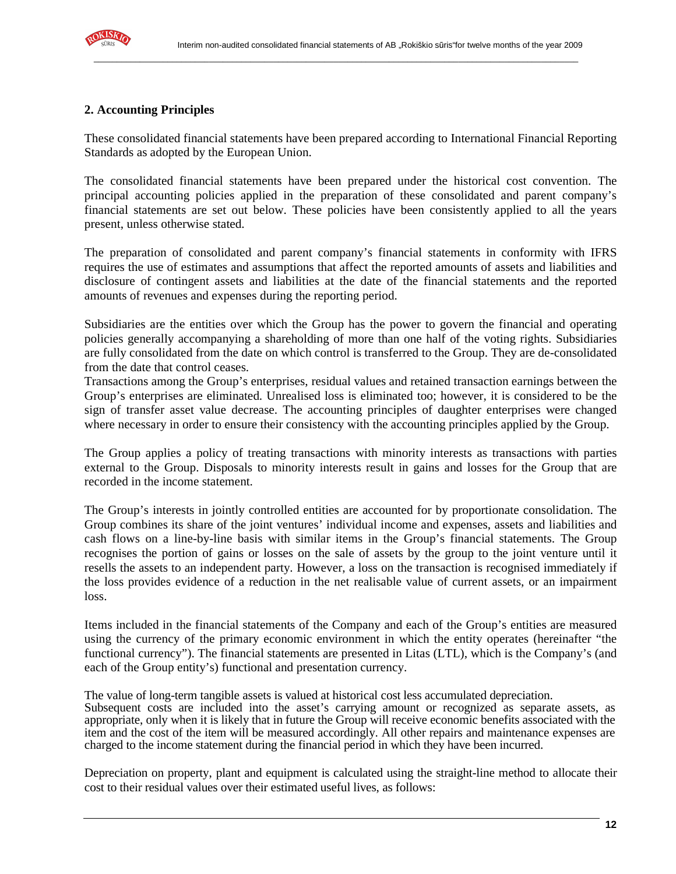

## **2. Accounting Principles**

These consolidated financial statements have been prepared according to International Financial Reporting Standards as adopted by the European Union.

\_\_\_\_\_\_\_\_\_\_\_\_\_\_\_\_\_\_\_\_\_\_\_\_\_\_\_\_\_\_\_\_\_\_\_\_\_\_\_\_\_\_\_\_\_\_\_\_\_\_\_\_\_\_\_\_\_\_\_\_\_\_\_\_\_\_\_\_\_\_\_\_\_\_\_\_\_\_\_\_\_\_\_\_\_\_\_\_\_\_\_\_\_\_\_\_\_\_\_\_\_\_\_\_\_

The consolidated financial statements have been prepared under the historical cost convention. The principal accounting policies applied in the preparation of these consolidated and parent company's financial statements are set out below. These policies have been consistently applied to all the years present, unless otherwise stated.

The preparation of consolidated and parent company's financial statements in conformity with IFRS requires the use of estimates and assumptions that affect the reported amounts of assets and liabilities and disclosure of contingent assets and liabilities at the date of the financial statements and the reported amounts of revenues and expenses during the reporting period.

Subsidiaries are the entities over which the Group has the power to govern the financial and operating policies generally accompanying a shareholding of more than one half of the voting rights. Subsidiaries are fully consolidated from the date on which control is transferred to the Group. They are de-consolidated from the date that control ceases.

Transactions among the Group's enterprises, residual values and retained transaction earnings between the Group's enterprises are eliminated. Unrealised loss is eliminated too; however, it is considered to be the sign of transfer asset value decrease. The accounting principles of daughter enterprises were changed where necessary in order to ensure their consistency with the accounting principles applied by the Group.

The Group applies a policy of treating transactions with minority interests as transactions with parties external to the Group. Disposals to minority interests result in gains and losses for the Group that are recorded in the income statement.

The Group's interests in jointly controlled entities are accounted for by proportionate consolidation. The Group combines its share of the joint ventures' individual income and expenses, assets and liabilities and cash flows on a line-by-line basis with similar items in the Group's financial statements. The Group recognises the portion of gains or losses on the sale of assets by the group to the joint venture until it resells the assets to an independent party. However, a loss on the transaction is recognised immediately if the loss provides evidence of a reduction in the net realisable value of current assets, or an impairment loss.

Items included in the financial statements of the Company and each of the Group's entities are measured using the currency of the primary economic environment in which the entity operates (hereinafter "the functional currency"). The financial statements are presented in Litas (LTL), which is the Company's (and each of the Group entity's) functional and presentation currency.

The value of long-term tangible assets is valued at historical cost less accumulated depreciation. Subsequent costs are included into the asset's carrying amount or recognized as separate assets, as appropriate, only when it is likely that in future the Group will receive economic benefits associated with the item and the cost of the item will be measured accordingly. All other repairs and maintenance expenses are charged to the income statement during the financial period in which they have been incurred.

Depreciation on property, plant and equipment is calculated using the straight-line method to allocate their cost to their residual values over their estimated useful lives, as follows: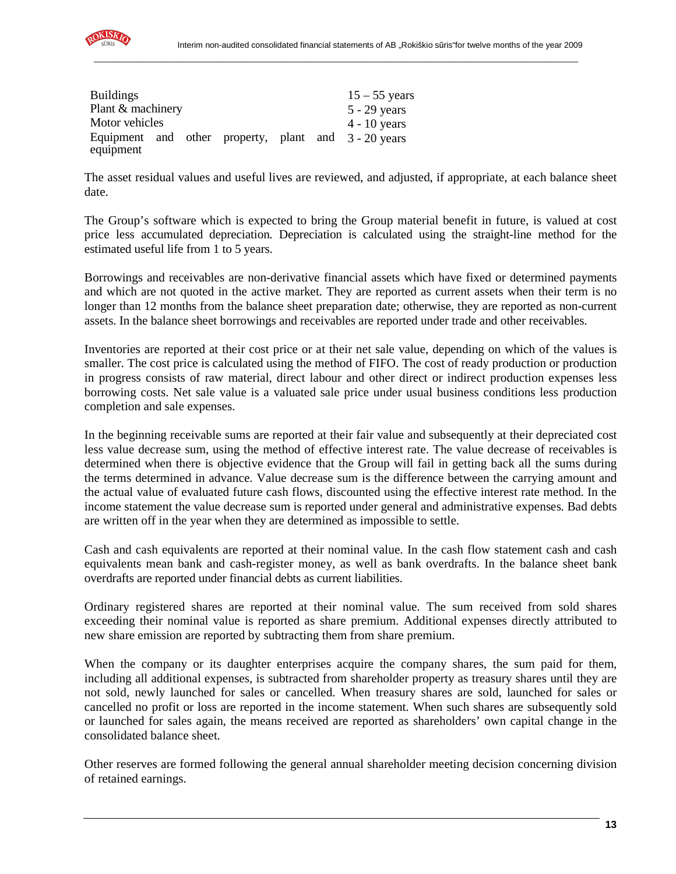

| <b>Buildings</b>  |  |  | $15 - 55$ years                                      |
|-------------------|--|--|------------------------------------------------------|
| Plant & machinery |  |  | $5 - 29$ years                                       |
| Motor vehicles    |  |  | $4 - 10$ years                                       |
|                   |  |  | Equipment and other property, plant and 3 - 20 years |
| equipment         |  |  |                                                      |

The asset residual values and useful lives are reviewed, and adjusted, if appropriate, at each balance sheet date.

\_\_\_\_\_\_\_\_\_\_\_\_\_\_\_\_\_\_\_\_\_\_\_\_\_\_\_\_\_\_\_\_\_\_\_\_\_\_\_\_\_\_\_\_\_\_\_\_\_\_\_\_\_\_\_\_\_\_\_\_\_\_\_\_\_\_\_\_\_\_\_\_\_\_\_\_\_\_\_\_\_\_\_\_\_\_\_\_\_\_\_\_\_\_\_\_\_\_\_\_\_\_\_\_\_

The Group's software which is expected to bring the Group material benefit in future, is valued at cost price less accumulated depreciation. Depreciation is calculated using the straight-line method for the estimated useful life from 1 to 5 years.

Borrowings and receivables are non-derivative financial assets which have fixed or determined payments and which are not quoted in the active market. They are reported as current assets when their term is no longer than 12 months from the balance sheet preparation date; otherwise, they are reported as non-current assets. In the balance sheet borrowings and receivables are reported under trade and other receivables.

Inventories are reported at their cost price or at their net sale value, depending on which of the values is smaller. The cost price is calculated using the method of FIFO. The cost of ready production or production in progress consists of raw material, direct labour and other direct or indirect production expenses less borrowing costs. Net sale value is a valuated sale price under usual business conditions less production completion and sale expenses.

In the beginning receivable sums are reported at their fair value and subsequently at their depreciated cost less value decrease sum, using the method of effective interest rate. The value decrease of receivables is determined when there is objective evidence that the Group will fail in getting back all the sums during the terms determined in advance. Value decrease sum is the difference between the carrying amount and the actual value of evaluated future cash flows, discounted using the effective interest rate method. In the income statement the value decrease sum is reported under general and administrative expenses. Bad debts are written off in the year when they are determined as impossible to settle.

Cash and cash equivalents are reported at their nominal value. In the cash flow statement cash and cash equivalents mean bank and cash-register money, as well as bank overdrafts. In the balance sheet bank overdrafts are reported under financial debts as current liabilities.

Ordinary registered shares are reported at their nominal value. The sum received from sold shares exceeding their nominal value is reported as share premium. Additional expenses directly attributed to new share emission are reported by subtracting them from share premium.

When the company or its daughter enterprises acquire the company shares, the sum paid for them, including all additional expenses, is subtracted from shareholder property as treasury shares until they are not sold, newly launched for sales or cancelled. When treasury shares are sold, launched for sales or cancelled no profit or loss are reported in the income statement. When such shares are subsequently sold or launched for sales again, the means received are reported as shareholders' own capital change in the consolidated balance sheet.

Other reserves are formed following the general annual shareholder meeting decision concerning division of retained earnings.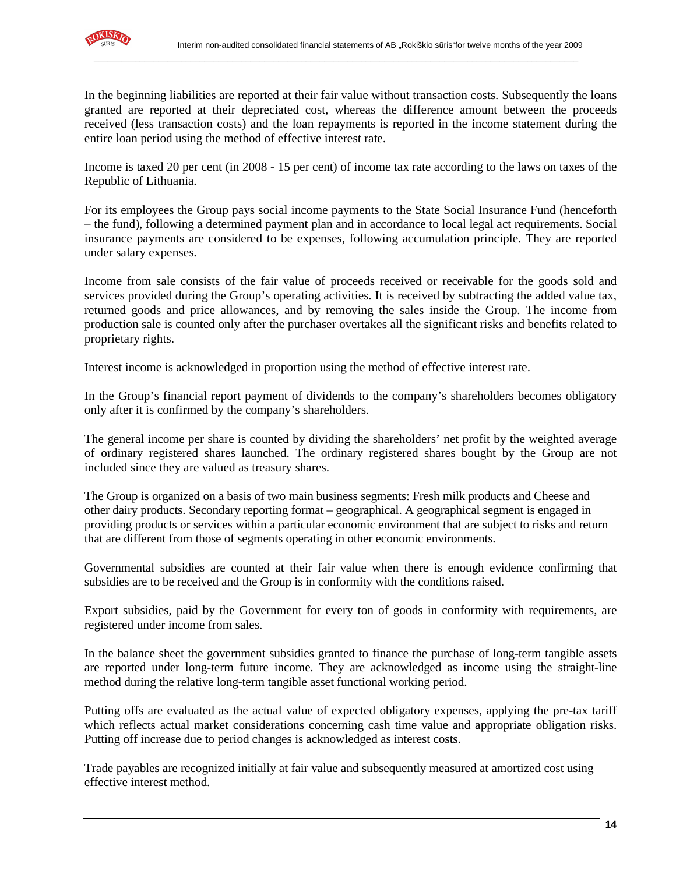

In the beginning liabilities are reported at their fair value without transaction costs. Subsequently the loans granted are reported at their depreciated cost, whereas the difference amount between the proceeds received (less transaction costs) and the loan repayments is reported in the income statement during the entire loan period using the method of effective interest rate.

\_\_\_\_\_\_\_\_\_\_\_\_\_\_\_\_\_\_\_\_\_\_\_\_\_\_\_\_\_\_\_\_\_\_\_\_\_\_\_\_\_\_\_\_\_\_\_\_\_\_\_\_\_\_\_\_\_\_\_\_\_\_\_\_\_\_\_\_\_\_\_\_\_\_\_\_\_\_\_\_\_\_\_\_\_\_\_\_\_\_\_\_\_\_\_\_\_\_\_\_\_\_\_\_\_

Income is taxed 20 per cent (in 2008 - 15 per cent) of income tax rate according to the laws on taxes of the Republic of Lithuania.

For its employees the Group pays social income payments to the State Social Insurance Fund (henceforth – the fund), following a determined payment plan and in accordance to local legal act requirements. Social insurance payments are considered to be expenses, following accumulation principle. They are reported under salary expenses.

Income from sale consists of the fair value of proceeds received or receivable for the goods sold and services provided during the Group's operating activities. It is received by subtracting the added value tax, returned goods and price allowances, and by removing the sales inside the Group. The income from production sale is counted only after the purchaser overtakes all the significant risks and benefits related to proprietary rights.

Interest income is acknowledged in proportion using the method of effective interest rate.

In the Group's financial report payment of dividends to the company's shareholders becomes obligatory only after it is confirmed by the company's shareholders.

The general income per share is counted by dividing the shareholders' net profit by the weighted average of ordinary registered shares launched. The ordinary registered shares bought by the Group are not included since they are valued as treasury shares.

The Group is organized on a basis of two main business segments: Fresh milk products and Cheese and other dairy products. Secondary reporting format – geographical. A geographical segment is engaged in providing products or services within a particular economic environment that are subject to risks and return that are different from those of segments operating in other economic environments.

Governmental subsidies are counted at their fair value when there is enough evidence confirming that subsidies are to be received and the Group is in conformity with the conditions raised.

Export subsidies, paid by the Government for every ton of goods in conformity with requirements, are registered under income from sales.

In the balance sheet the government subsidies granted to finance the purchase of long-term tangible assets are reported under long-term future income. They are acknowledged as income using the straight-line method during the relative long-term tangible asset functional working period.

Putting offs are evaluated as the actual value of expected obligatory expenses, applying the pre-tax tariff which reflects actual market considerations concerning cash time value and appropriate obligation risks. Putting off increase due to period changes is acknowledged as interest costs.

Trade payables are recognized initially at fair value and subsequently measured at amortized cost using effective interest method.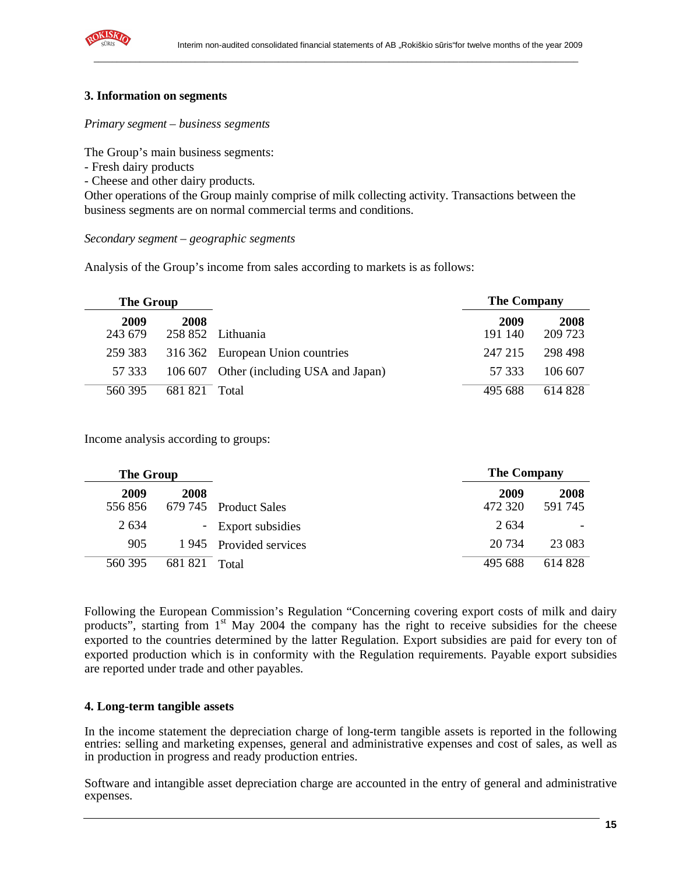

#### **3. Information on segments**

#### *Primary segment – business segments*

The Group's main business segments:

- Fresh dairy products
- Cheese and other dairy products.

Other operations of the Group mainly comprise of milk collecting activity. Transactions between the business segments are on normal commercial terms and conditions.

\_\_\_\_\_\_\_\_\_\_\_\_\_\_\_\_\_\_\_\_\_\_\_\_\_\_\_\_\_\_\_\_\_\_\_\_\_\_\_\_\_\_\_\_\_\_\_\_\_\_\_\_\_\_\_\_\_\_\_\_\_\_\_\_\_\_\_\_\_\_\_\_\_\_\_\_\_\_\_\_\_\_\_\_\_\_\_\_\_\_\_\_\_\_\_\_\_\_\_\_\_\_\_\_\_

#### *Secondary segment – geographic segments*

Analysis of the Group's income from sales according to markets is as follows:

| The Group       |         |                                         | <b>The Company</b> |                 |
|-----------------|---------|-----------------------------------------|--------------------|-----------------|
| 2009<br>243 679 | 2008    | 258 852 Lithuania                       | 2009<br>191 140    | 2008<br>209 723 |
| 259 383         |         | 316 362 European Union countries        | 247 215            | 298 498         |
| 57 333          |         | 106 607 Other (including USA and Japan) | 57 333             | 106 607         |
| 560 395         | 681 821 | Total                                   | 495 688            | 614 828         |

Income analysis according to groups:

| <b>The Group</b> |         |                        | <b>The Company</b> |                          |  |
|------------------|---------|------------------------|--------------------|--------------------------|--|
| 2009<br>556856   | 2008    | 679 745 Product Sales  | 2009<br>472 320    | 2008<br>591 745          |  |
| 2 6 3 4          |         | - Export subsidies     | 2.634              | $\overline{\phantom{a}}$ |  |
| 905              |         | 1945 Provided services | 20 734             | 23 083                   |  |
| 560 395          | 681 821 | Total                  | 495 688            | 614 828                  |  |

Following the European Commission's Regulation "Concerning covering export costs of milk and dairy products", starting from  $1<sup>st</sup>$  May 2004 the company has the right to receive subsidies for the cheese exported to the countries determined by the latter Regulation. Export subsidies are paid for every ton of exported production which is in conformity with the Regulation requirements. Payable export subsidies are reported under trade and other payables.

#### **4. Long-term tangible assets**

In the income statement the depreciation charge of long-term tangible assets is reported in the following entries: selling and marketing expenses, general and administrative expenses and cost of sales, as well as in production in progress and ready production entries.

Software and intangible asset depreciation charge are accounted in the entry of general and administrative expenses.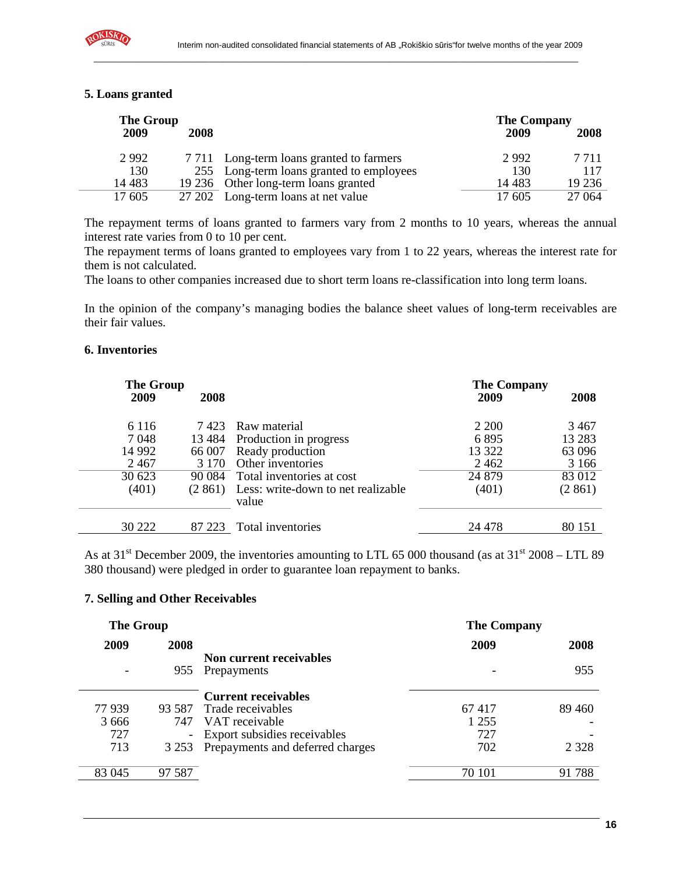

| <b>The Group</b> |        |                                          | <b>The Company</b> |         |  |  |
|------------------|--------|------------------------------------------|--------------------|---------|--|--|
| 2009             | 2008   |                                          | 2009               | 2008    |  |  |
| 2992             |        | 7 711 Long-term loans granted to farmers | 2992               | 7 7 1 1 |  |  |
| 130              |        | 255 Long-term loans granted to employees | 130                | 117     |  |  |
| 14 4 8 3         |        | 19 236 Other long-term loans granted     | 14 4 8 3           | 19 2 36 |  |  |
| 17 605           | 27 202 | Long-term loans at net value             | 17 605             | 27 064  |  |  |

The repayment terms of loans granted to farmers vary from 2 months to 10 years, whereas the annual interest rate varies from 0 to 10 per cent.

The repayment terms of loans granted to employees vary from 1 to 22 years, whereas the interest rate for them is not calculated.

The loans to other companies increased due to short term loans re-classification into long term loans.

In the opinion of the company's managing bodies the balance sheet values of long-term receivables are their fair values.

#### **6. Inventories**

| The Group |          |                                             | <b>The Company</b> |         |  |
|-----------|----------|---------------------------------------------|--------------------|---------|--|
| 2009      | 2008     |                                             | 2009               | 2008    |  |
| 6 1 1 6   | 7423     | Raw material                                | 2 200              | 3467    |  |
| 7048      | 13 4 8 4 | Production in progress                      | 6895               | 13 28 3 |  |
| 14 9 92   | 66 007   | Ready production                            | 13 322             | 63 096  |  |
| 2 4 6 7   | 3 1 7 0  | Other inventories                           | 2 4 6 2            | 3 1 6 6 |  |
| 30 623    | 90 0 84  | Total inventories at cost                   | 24 8 79            | 83 012  |  |
| (401)     | (2861)   | Less: write-down to net realizable<br>value | (401)              | (2861)  |  |
| 30 222    | 87 223   | Total inventories                           | 24 478             | 80 151  |  |

As at 31<sup>st</sup> December 2009, the inventories amounting to LTL 65 000 thousand (as at 31<sup>st</sup> 2008 – LTL 89 380 thousand) were pledged in order to guarantee loan repayment to banks.

#### **7. Selling and Other Receivables**

| <b>The Group</b> |         |                                  | <b>The Company</b> |         |
|------------------|---------|----------------------------------|--------------------|---------|
| 2009             | 2008    |                                  | 2009               | 2008    |
|                  |         | Non current receivables          |                    |         |
|                  | 955     | Prepayments                      |                    | 955     |
|                  |         |                                  |                    |         |
|                  |         | <b>Current receivables</b>       |                    |         |
| 77939            | 93.587  | Trade receivables                | 67417              | 89 460  |
| 3 6 6 6          | 747     | VAT receivable                   | 1 2 5 5            |         |
| 727              |         | Export subsidies receivables     | 727                |         |
| 713              | 3 2 5 3 | Prepayments and deferred charges | 702                | 2 3 2 8 |
|                  |         |                                  |                    |         |
| 83 045           | 97 587  |                                  | 70 101             | 91788   |
|                  |         |                                  |                    |         |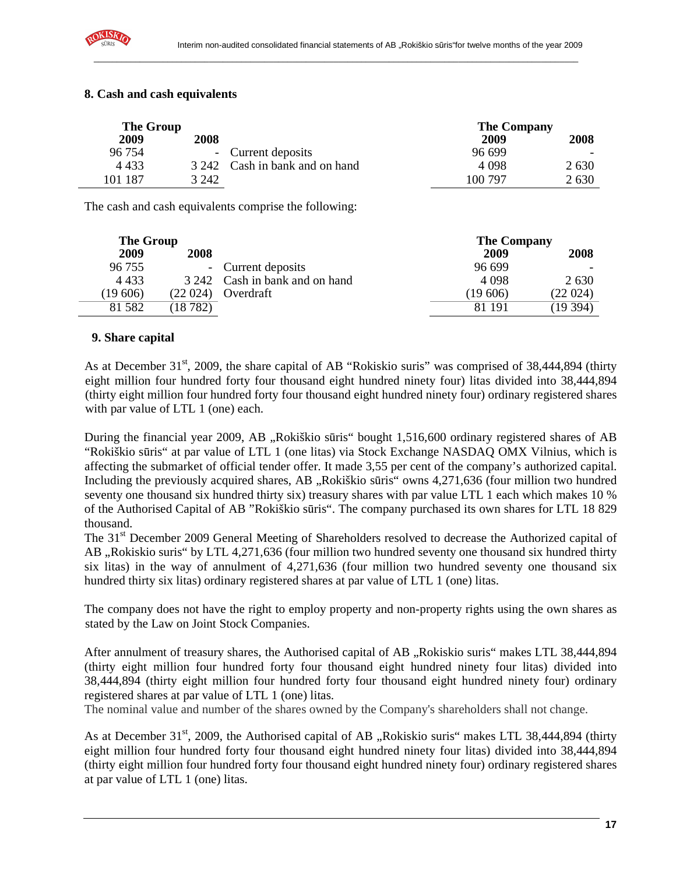

| <b>The Group</b> |             |                                | <b>The Company</b> |         |  |
|------------------|-------------|--------------------------------|--------------------|---------|--|
| 2009             | <b>2008</b> |                                | 2009               | 2008    |  |
| 96 754           | $\sim$      | Current deposits               | 96.699             |         |  |
| 4 4 3 3          |             | 3 242 Cash in bank and on hand | 4 0 9 8            | 2 6 3 0 |  |
| 101 187          | 3 242       |                                | 100 797            | 2630    |  |

#### **8. Cash and cash equivalents**

The cash and cash equivalents comprise the following:

| <b>The Group</b> |         |                                |          | <b>The Company</b> |  |  |
|------------------|---------|--------------------------------|----------|--------------------|--|--|
| 2009             | 2008    |                                | 2009     | 2008               |  |  |
| 96 755           |         | - Current deposits             | 96 699   |                    |  |  |
| 4 4 3 3          |         | 3 242 Cash in bank and on hand | 4 0 9 8  | 2 6 3 0            |  |  |
| (19 606)         | (22024) | Overdraft                      | (19 606) | (22 024)           |  |  |
| 81 5 82          | (18782) |                                | 81 191   | (19394)            |  |  |

#### **9. Share capital**

As at December 31<sup>st</sup>, 2009, the share capital of AB "Rokiskio suris" was comprised of 38,444,894 (thirty eight million four hundred forty four thousand eight hundred ninety four) litas divided into 38,444,894 (thirty eight million four hundred forty four thousand eight hundred ninety four) ordinary registered shares with par value of LTL 1 (one) each.

During the financial year 2009, AB "Rokiškio sūris" bought 1,516,600 ordinary registered shares of AB "Rokiškio sūris" at par value of LTL 1 (one litas) via Stock Exchange NASDAQ OMX Vilnius, which is affecting the submarket of official tender offer. It made 3,55 per cent of the company's authorized capital. Including the previously acquired shares, AB "Rokiškio sūris" owns 4,271,636 (four million two hundred seventy one thousand six hundred thirty six) treasury shares with par value LTL 1 each which makes 10 % of the Authorised Capital of AB "Rokiškio sūris". The company purchased its own shares for LTL 18 829 thousand.

The 31<sup>st</sup> December 2009 General Meeting of Shareholders resolved to decrease the Authorized capital of AB , Rokiskio suris" by LTL 4,271,636 (four million two hundred seventy one thousand six hundred thirty six litas) in the way of annulment of 4,271,636 (four million two hundred seventy one thousand six hundred thirty six litas) ordinary registered shares at par value of LTL 1 (one) litas.

The company does not have the right to employ property and non-property rights using the own shares as stated by the Law on Joint Stock Companies.

After annulment of treasury shares, the Authorised capital of AB "Rokiskio suris" makes LTL 38,444,894 (thirty eight million four hundred forty four thousand eight hundred ninety four litas) divided into 38,444,894 (thirty eight million four hundred forty four thousand eight hundred ninety four) ordinary registered shares at par value of LTL 1 (one) litas.

The nominal value and number of the shares owned by the Company's shareholders shall not change.

As at December 31<sup>st</sup>, 2009, the Authorised capital of AB "Rokiskio suris" makes LTL 38,444,894 (thirty eight million four hundred forty four thousand eight hundred ninety four litas) divided into 38,444,894 (thirty eight million four hundred forty four thousand eight hundred ninety four) ordinary registered shares at par value of LTL 1 (one) litas.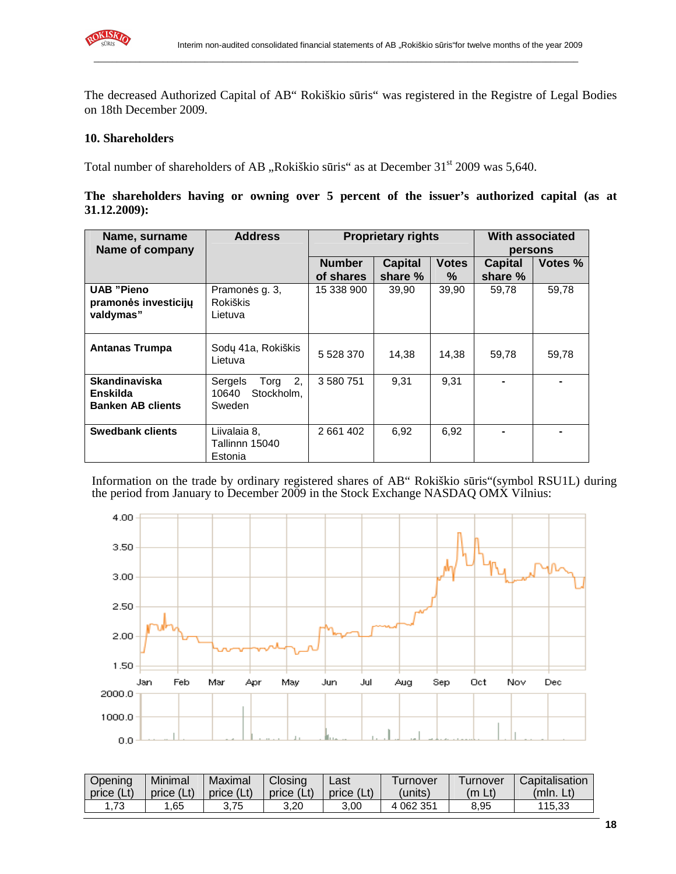

The decreased Authorized Capital of AB" Rokiškio sūris" was registered in the Registre of Legal Bodies on 18th December 2009.

\_\_\_\_\_\_\_\_\_\_\_\_\_\_\_\_\_\_\_\_\_\_\_\_\_\_\_\_\_\_\_\_\_\_\_\_\_\_\_\_\_\_\_\_\_\_\_\_\_\_\_\_\_\_\_\_\_\_\_\_\_\_\_\_\_\_\_\_\_\_\_\_\_\_\_\_\_\_\_\_\_\_\_\_\_\_\_\_\_\_\_\_\_\_\_\_\_\_\_\_\_\_\_\_\_

#### **10. Shareholders**

Total number of shareholders of AB "Rokiškio sūris" as at December 31<sup>st</sup> 2009 was 5,640.

| The shareholders having or owning over 5 percent of the issuer's authorized capital (as at |  |  |  |  |  |  |  |
|--------------------------------------------------------------------------------------------|--|--|--|--|--|--|--|
| $31.12.2009$ :                                                                             |  |  |  |  |  |  |  |

| Name, surname                                                | <b>Address</b>                                         |               | <b>Proprietary rights</b> |              | With associated |         |  |
|--------------------------------------------------------------|--------------------------------------------------------|---------------|---------------------------|--------------|-----------------|---------|--|
| Name of company                                              |                                                        |               |                           |              | persons         |         |  |
|                                                              |                                                        | <b>Number</b> | <b>Capital</b>            | <b>Votes</b> | <b>Capital</b>  | Votes % |  |
|                                                              |                                                        | of shares     | share %                   | ℅            | share %         |         |  |
| <b>UAB "Pieno</b><br>pramonės investicijų<br>valdymas"       | Pramonės g. 3,<br><b>Rokiškis</b><br>Lietuva           | 15 338 900    | 39,90                     | 39,90        | 59,78           | 59,78   |  |
| <b>Antanas Trumpa</b>                                        | Sodų 41a, Rokiškis<br>Lietuva                          | 5 528 370     | 14,38                     | 14,38        | 59,78           | 59,78   |  |
| <b>Skandinaviska</b><br>Enskilda<br><b>Banken AB clients</b> | 2,<br>Sergels<br>Torg<br>Stockholm,<br>10640<br>Sweden | 3 580 751     | 9.31                      | 9,31         |                 |         |  |
| <b>Swedbank clients</b>                                      | Liivalaia 8,<br>Tallinnn 15040<br>Estonia              | 2 661 402     | 6.92                      | 6,92         |                 |         |  |

Information on the trade by ordinary registered shares of AB" Rokiškio sūris"(symbol RSU1L) during the period from January to December 2009 in the Stock Exchange NASDAQ OMX Vilnius:



| Opening<br>price (Lt) | Minimal<br>price (Lt) | Maximal<br>price (Lt) | Closing<br>price (Lt) | _ast<br>price (Lt) | Turnover<br>units) | Turnover<br>Lt)<br>(m | Capitalisation<br>(mIn. Lt) |
|-----------------------|-----------------------|-----------------------|-----------------------|--------------------|--------------------|-----------------------|-----------------------------|
|                       |                       |                       |                       |                    |                    |                       |                             |
| .73                   | .65                   | 3.75                  | 3.20                  | 3.00               | 4 062 351          | 8.95                  | 115.33                      |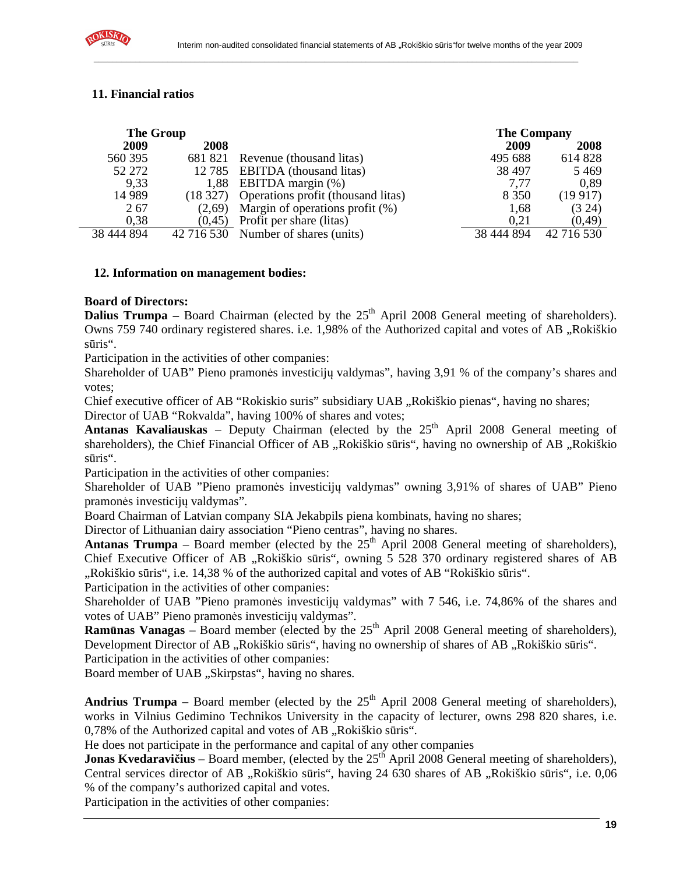

# **11. Financial ratios**

| <b>The Group</b> |          |                                             | <b>The Company</b> |            |
|------------------|----------|---------------------------------------------|--------------------|------------|
| 2009             | 2008     |                                             | 2009               | 2008       |
| 560 395          | 681 821  | Revenue (thousand litas)                    | 495 688            | 614 828    |
| 52 272           | 12 7 8 5 | <b>EBITDA</b> (thousand litas)              | 38 497             | 5 4 6 9    |
| 9.33             |          | 1,88 EBITDA margin (%)                      | 7,77               | 0.89       |
| 14 9 89          |          | (18 327) Operations profit (thousand litas) | 8 3 5 0            | (19917)    |
| 267              | (2.69)   | Margin of operations profit (%)             | 1,68               | (3 24)     |
| 0.38             | (0.45)   | Profit per share (litas)                    | 0.21               | (0, 49)    |
| 38 444 894       |          | 42 716 530 Number of shares (units)         | 38 444 894         | 42 716 530 |

\_\_\_\_\_\_\_\_\_\_\_\_\_\_\_\_\_\_\_\_\_\_\_\_\_\_\_\_\_\_\_\_\_\_\_\_\_\_\_\_\_\_\_\_\_\_\_\_\_\_\_\_\_\_\_\_\_\_\_\_\_\_\_\_\_\_\_\_\_\_\_\_\_\_\_\_\_\_\_\_\_\_\_\_\_\_\_\_\_\_\_\_\_\_\_\_\_\_\_\_\_\_\_\_\_

#### **12. Information on management bodies:**

#### **Board of Directors:**

**Dalius Trumpa** – Board Chairman (elected by the 25<sup>th</sup> April 2008 General meeting of shareholders). Owns 759 740 ordinary registered shares. i.e. 1,98% of the Authorized capital and votes of AB "Rokiškio sūris".

Participation in the activities of other companies:

Shareholder of UAB" Pieno pramonės investicijų valdymas", having 3,91 % of the company's shares and votes;

Chief executive officer of AB "Rokiskio suris" subsidiary UAB "Rokiškio pienas", having no shares; Director of UAB "Rokvalda", having 100% of shares and votes;

Antanas Kavaliauskas – Deputy Chairman (elected by the 25<sup>th</sup> April 2008 General meeting of shareholders), the Chief Financial Officer of AB "Rokiškio sūris", having no ownership of AB "Rokiškio sūris".

Participation in the activities of other companies:

Shareholder of UAB "Pieno pramonės investicijų valdymas" owning 3,91% of shares of UAB" Pieno pramonės investicijų valdymas".

Board Chairman of Latvian company SIA Jekabpils piena kombinats, having no shares;

Director of Lithuanian dairy association "Pieno centras", having no shares.

**Antanas Trumpa** – Board member (elected by the  $25<sup>th</sup>$  April 2008 General meeting of shareholders), Chief Executive Officer of AB "Rokiškio sūris", owning 5 528 370 ordinary registered shares of AB "Rokiškio sūris", i.e. 14,38 % of the authorized capital and votes of AB "Rokiškio sūris".

Participation in the activities of other companies:

Shareholder of UAB "Pieno pramonės investicijų valdymas" with 7 546, i.e. 74,86% of the shares and votes of UAB" Pieno pramonės investicijų valdymas".

**Ramūnas Vanagas** – Board member (elected by the 25<sup>th</sup> April 2008 General meeting of shareholders). Development Director of AB "Rokiškio sūris", having no ownership of shares of AB "Rokiškio sūris".

Participation in the activities of other companies:

Board member of UAB "Skirpstas", having no shares.

Andrius Trumpa – Board member (elected by the 25<sup>th</sup> April 2008 General meeting of shareholders), works in Vilnius Gedimino Technikos University in the capacity of lecturer, owns 298 820 shares, i.e.  $0,78\%$  of the Authorized capital and votes of AB  $,$ Rokiškio sūris".

He does not participate in the performance and capital of any other companies

**Jonas Kvedaravičius** – Board member, (elected by the 25<sup>th</sup> April 2008 General meeting of shareholders), Central services director of AB "Rokiškio sūris", having 24 630 shares of AB "Rokiškio sūris", i.e. 0,06 % of the company's authorized capital and votes.

Participation in the activities of other companies: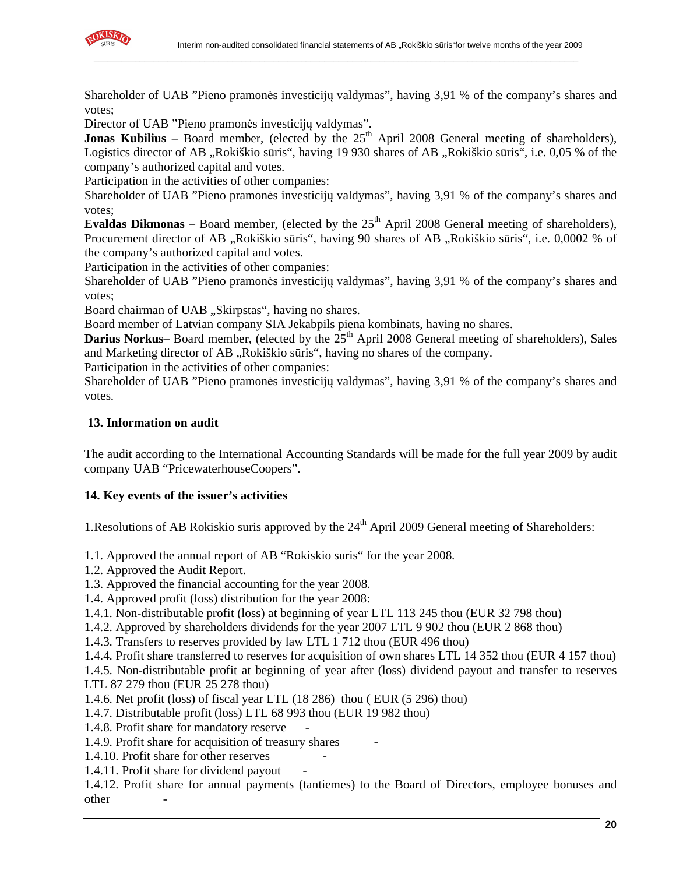

Shareholder of UAB "Pieno pramonės investicijų valdymas", having 3,91 % of the company's shares and votes;

\_\_\_\_\_\_\_\_\_\_\_\_\_\_\_\_\_\_\_\_\_\_\_\_\_\_\_\_\_\_\_\_\_\_\_\_\_\_\_\_\_\_\_\_\_\_\_\_\_\_\_\_\_\_\_\_\_\_\_\_\_\_\_\_\_\_\_\_\_\_\_\_\_\_\_\_\_\_\_\_\_\_\_\_\_\_\_\_\_\_\_\_\_\_\_\_\_\_\_\_\_\_\_\_\_

Director of UAB "Pieno pramonės investicijų valdymas".

**Jonas Kubilius** – Board member, (elected by the  $25<sup>th</sup>$  April 2008 General meeting of shareholders), Logistics director of AB "Rokiškio sūris", having 19 930 shares of AB "Rokiškio sūris", i.e. 0,05 % of the company's authorized capital and votes.

Participation in the activities of other companies:

Shareholder of UAB "Pieno pramonės investicijų valdymas", having 3,91 % of the company's shares and votes;

**Evaldas Dikmonas** – Board member, (elected by the  $25<sup>th</sup>$  April 2008 General meeting of shareholders), Procurement director of AB "Rokiškio sūris", having 90 shares of AB "Rokiškio sūris", i.e. 0,0002 % of the company's authorized capital and votes.

Participation in the activities of other companies:

Shareholder of UAB "Pieno pramonės investicijų valdymas", having 3,91 % of the company's shares and votes;

Board chairman of UAB "Skirpstas", having no shares.

Board member of Latvian company SIA Jekabpils piena kombinats, having no shares.

**Darius Norkus–** Board member, (elected by the 25<sup>th</sup> April 2008 General meeting of shareholders), Sales and Marketing director of AB "Rokiškio sūris", having no shares of the company.

Participation in the activities of other companies:

Shareholder of UAB "Pieno pramonės investicijų valdymas", having 3,91 % of the company's shares and votes.

# **13. Information on audit**

The audit according to the International Accounting Standards will be made for the full year 2009 by audit company UAB "PricewaterhouseCoopers".

# **14. Key events of the issuer's activities**

1. Resolutions of AB Rokiskio suris approved by the  $24<sup>th</sup>$  April 2009 General meeting of Shareholders:

1.1. Approved the annual report of AB "Rokiskio suris" for the year 2008.

1.2. Approved the Audit Report.

1.3. Approved the financial accounting for the year 2008.

1.4. Approved profit (loss) distribution for the year 2008:

1.4.1. Non-distributable profit (loss) at beginning of year LTL 113 245 thou (EUR 32 798 thou)

1.4.2. Approved by shareholders dividends for the year 2007 LTL 9 902 thou (EUR 2 868 thou)

1.4.3. Transfers to reserves provided by law LTL 1 712 thou (EUR 496 thou)

1.4.4. Profit share transferred to reserves for acquisition of own shares LTL 14 352 thou (EUR 4 157 thou)

1.4.5. Non-distributable profit at beginning of year after (loss) dividend payout and transfer to reserves LTL 87 279 thou (EUR 25 278 thou)

1.4.6. Net profit (loss) of fiscal year LTL (18 286) thou ( EUR (5 296) thou)

1.4.7. Distributable profit (loss) LTL 68 993 thou (EUR 19 982 thou)

1.4.8. Profit share for mandatory reserve

1.4.9. Profit share for acquisition of treasury shares

1.4.10. Profit share for other reserves

1.4.11. Profit share for dividend payout

1.4.12. Profit share for annual payments (tantiemes) to the Board of Directors, employee bonuses and other -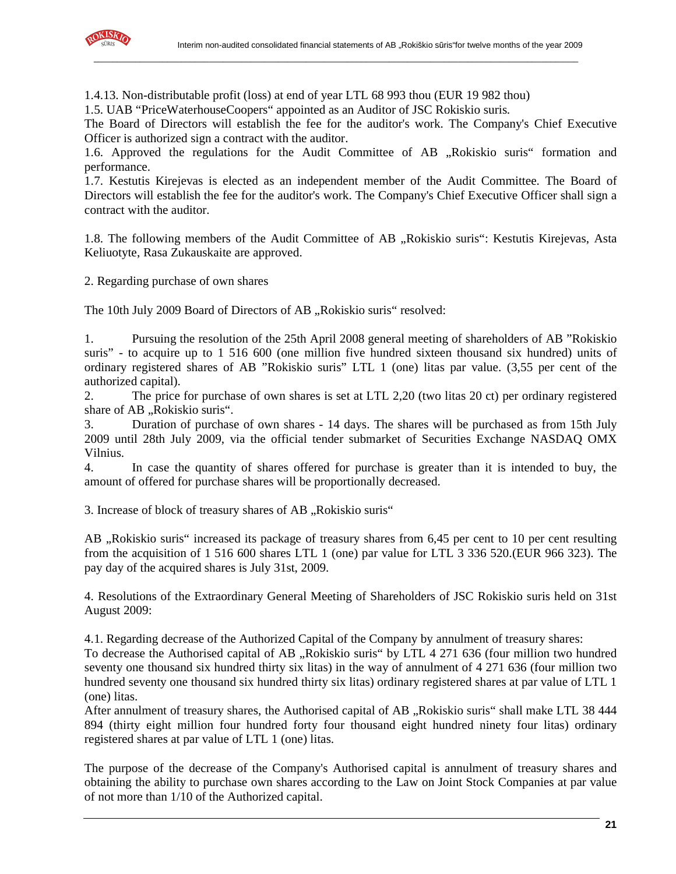

1.4.13. Non-distributable profit (loss) at end of year LTL 68 993 thou (EUR 19 982 thou)

\_\_\_\_\_\_\_\_\_\_\_\_\_\_\_\_\_\_\_\_\_\_\_\_\_\_\_\_\_\_\_\_\_\_\_\_\_\_\_\_\_\_\_\_\_\_\_\_\_\_\_\_\_\_\_\_\_\_\_\_\_\_\_\_\_\_\_\_\_\_\_\_\_\_\_\_\_\_\_\_\_\_\_\_\_\_\_\_\_\_\_\_\_\_\_\_\_\_\_\_\_\_\_\_\_

1.5. UAB "PriceWaterhouseCoopers" appointed as an Auditor of JSC Rokiskio suris.

The Board of Directors will establish the fee for the auditor's work. The Company's Chief Executive Officer is authorized sign a contract with the auditor.

1.6. Approved the regulations for the Audit Committee of AB "Rokiskio suris" formation and performance.

1.7. Kestutis Kirejevas is elected as an independent member of the Audit Committee. The Board of Directors will establish the fee for the auditor's work. The Company's Chief Executive Officer shall sign a contract with the auditor.

1.8. The following members of the Audit Committee of AB "Rokiskio suris": Kestutis Kirejevas, Asta Keliuotyte, Rasa Zukauskaite are approved.

2. Regarding purchase of own shares

The 10th July 2009 Board of Directors of AB "Rokiskio suris" resolved:

1. Pursuing the resolution of the 25th April 2008 general meeting of shareholders of AB "Rokiskio suris" - to acquire up to 1 516 600 (one million five hundred sixteen thousand six hundred) units of ordinary registered shares of AB "Rokiskio suris" LTL 1 (one) litas par value. (3,55 per cent of the authorized capital).

2. The price for purchase of own shares is set at LTL 2,20 (two litas 20 ct) per ordinary registered share of AB "Rokiskio suris".

3. Duration of purchase of own shares - 14 days. The shares will be purchased as from 15th July 2009 until 28th July 2009, via the official tender submarket of Securities Exchange NASDAQ OMX Vilnius.

4. In case the quantity of shares offered for purchase is greater than it is intended to buy, the amount of offered for purchase shares will be proportionally decreased.

3. Increase of block of treasury shares of AB "Rokiskio suris"

AB "Rokiskio suris" increased its package of treasury shares from 6,45 per cent to 10 per cent resulting from the acquisition of 1 516 600 shares LTL 1 (one) par value for LTL 3 336 520.(EUR 966 323). The pay day of the acquired shares is July 31st, 2009.

4. Resolutions of the Extraordinary General Meeting of Shareholders of JSC Rokiskio suris held on 31st August 2009:

4.1. Regarding decrease of the Authorized Capital of the Company by annulment of treasury shares:

To decrease the Authorised capital of AB "Rokiskio suris" by LTL 4 271 636 (four million two hundred seventy one thousand six hundred thirty six litas) in the way of annulment of 4 271 636 (four million two hundred seventy one thousand six hundred thirty six litas) ordinary registered shares at par value of LTL 1 (one) litas.

After annulment of treasury shares, the Authorised capital of AB "Rokiskio suris" shall make LTL 38 444 894 (thirty eight million four hundred forty four thousand eight hundred ninety four litas) ordinary registered shares at par value of LTL 1 (one) litas.

The purpose of the decrease of the Company's Authorised capital is annulment of treasury shares and obtaining the ability to purchase own shares according to the Law on Joint Stock Companies at par value of not more than 1/10 of the Authorized capital.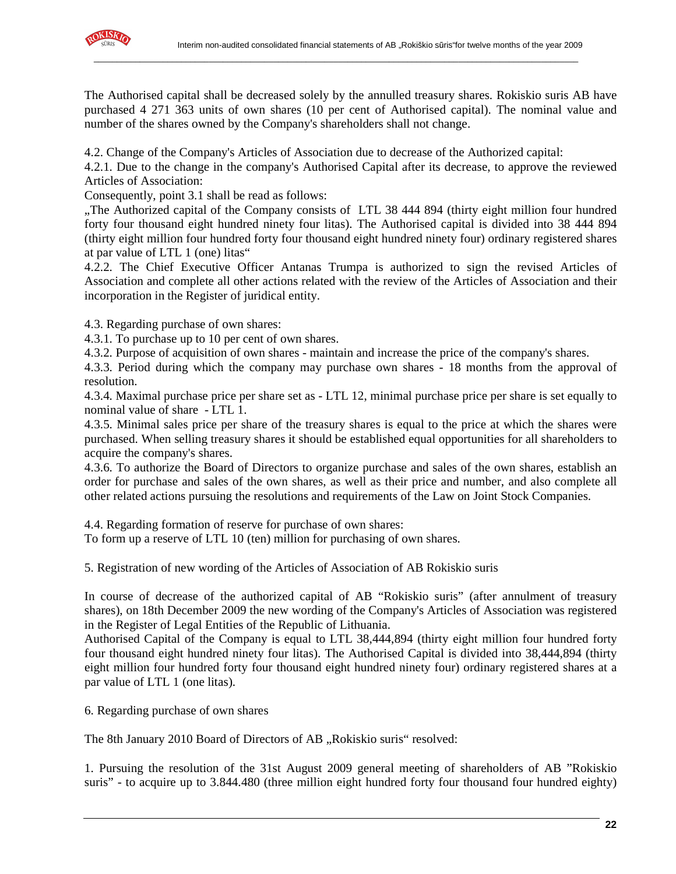

The Authorised capital shall be decreased solely by the annulled treasury shares. Rokiskio suris AB have purchased 4 271 363 units of own shares (10 per cent of Authorised capital). The nominal value and number of the shares owned by the Company's shareholders shall not change.

4.2. Change of the Company's Articles of Association due to decrease of the Authorized capital:

\_\_\_\_\_\_\_\_\_\_\_\_\_\_\_\_\_\_\_\_\_\_\_\_\_\_\_\_\_\_\_\_\_\_\_\_\_\_\_\_\_\_\_\_\_\_\_\_\_\_\_\_\_\_\_\_\_\_\_\_\_\_\_\_\_\_\_\_\_\_\_\_\_\_\_\_\_\_\_\_\_\_\_\_\_\_\_\_\_\_\_\_\_\_\_\_\_\_\_\_\_\_\_\_\_

4.2.1. Due to the change in the company's Authorised Capital after its decrease, to approve the reviewed Articles of Association:

Consequently, point 3.1 shall be read as follows:

"The Authorized capital of the Company consists of LTL 38 444 894 (thirty eight million four hundred forty four thousand eight hundred ninety four litas). The Authorised capital is divided into 38 444 894 (thirty eight million four hundred forty four thousand eight hundred ninety four) ordinary registered shares at par value of LTL 1 (one) litas"

4.2.2. The Chief Executive Officer Antanas Trumpa is authorized to sign the revised Articles of Association and complete all other actions related with the review of the Articles of Association and their incorporation in the Register of juridical entity.

4.3. Regarding purchase of own shares:

4.3.1. To purchase up to 10 per cent of own shares.

4.3.2. Purpose of acquisition of own shares - maintain and increase the price of the company's shares.

4.3.3. Period during which the company may purchase own shares - 18 months from the approval of resolution.

4.3.4. Maximal purchase price per share set as - LTL 12, minimal purchase price per share is set equally to nominal value of share - LTL 1.

4.3.5. Minimal sales price per share of the treasury shares is equal to the price at which the shares were purchased. When selling treasury shares it should be established equal opportunities for all shareholders to acquire the company's shares.

4.3.6. To authorize the Board of Directors to organize purchase and sales of the own shares, establish an order for purchase and sales of the own shares, as well as their price and number, and also complete all other related actions pursuing the resolutions and requirements of the Law on Joint Stock Companies.

4.4. Regarding formation of reserve for purchase of own shares:

To form up a reserve of LTL 10 (ten) million for purchasing of own shares.

5. Registration of new wording of the Articles of Association of AB Rokiskio suris

In course of decrease of the authorized capital of AB "Rokiskio suris" (after annulment of treasury shares), on 18th December 2009 the new wording of the Company's Articles of Association was registered in the Register of Legal Entities of the Republic of Lithuania.

Authorised Capital of the Company is equal to LTL 38,444,894 (thirty eight million four hundred forty four thousand eight hundred ninety four litas). The Authorised Capital is divided into 38,444,894 (thirty eight million four hundred forty four thousand eight hundred ninety four) ordinary registered shares at a par value of LTL 1 (one litas).

6. Regarding purchase of own shares

The 8th January 2010 Board of Directors of AB "Rokiskio suris" resolved:

1. Pursuing the resolution of the 31st August 2009 general meeting of shareholders of AB "Rokiskio suris" - to acquire up to 3.844.480 (three million eight hundred forty four thousand four hundred eighty)